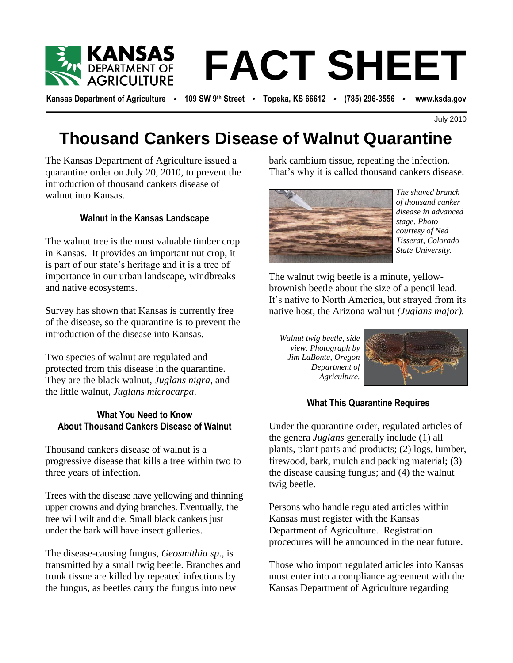

# **FACT SHEET**

**Kansas Department of Agriculture** • **109 SW 9th Street** • **Topeka, KS 66612** • **(785) 296-3556** • **www.ksda.gov**

# **Thousand Cankers Disease of Walnut Quarantine**

The Kansas Department of Agriculture issued a quarantine order on July 20, 2010, to prevent the introduction of thousand cankers disease of walnut into Kansas.

# **Walnut in the Kansas Landscape**

The walnut tree is the most valuable timber crop in Kansas. It provides an important nut crop, it is part of our state's heritage and it is a tree of importance in our urban landscape, windbreaks and native ecosystems.

Survey has shown that Kansas is currently free of the disease, so the quarantine is to prevent the introduction of the disease into Kansas.

Two species of walnut are regulated and protected from this disease in the quarantine. They are the black walnut, *Juglans nigra*, and the little walnut, *Juglans microcarpa*.

# **What You Need to Know About Thousand Cankers Disease of Walnut**

Thousand cankers disease of walnut is a progressive disease that kills a tree within two to three years of infection.

Trees with the disease have yellowing and thinning upper crowns and dying branches. Eventually, the tree will wilt and die. Small black cankers just under the bark will have insect galleries.

The disease-causing fungus, *Geosmithia sp*., is transmitted by a small twig beetle. Branches and trunk tissue are killed by repeated infections by the fungus, as beetles carry the fungus into new

sued a bark cambium tissue, repeating the infection. That's why it is called thousand cankers disease.



*The shaved branch of thousand canker disease in advanced stage. Photo courtesy of Ned Tisserat, Colorado State University.*

The walnut twig beetle is a minute, yellowbrownish beetle about the size of a pencil lead. It's native to North America, but strayed from its native host, the Arizona walnut *(Juglans major).*

*Walnut twig beetle, side view. Photograph by Jim LaBonte, Oregon Department of Agriculture.*



## **What This Quarantine Requires**

Under the quarantine order, regulated articles of the genera *Juglans* generally include (1) all plants, plant parts and products; (2) logs, lumber, firewood, bark, mulch and packing material; (3) the disease causing fungus; and (4) the walnut twig beetle.

Persons who handle regulated articles within Kansas must register with the Kansas Department of Agriculture. Registration procedures will be announced in the near future.

Those who import regulated articles into Kansas must enter into a compliance agreement with the Kansas Department of Agriculture regarding

July 2010